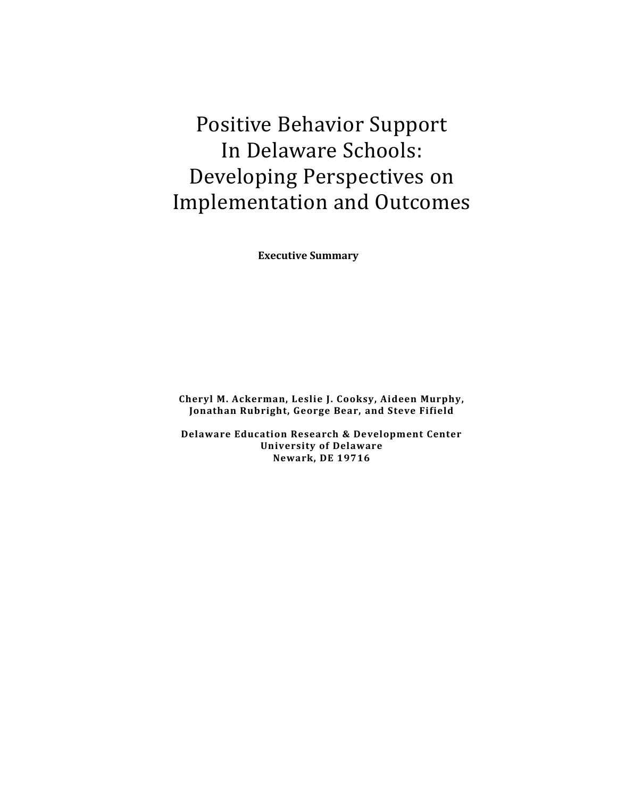Positive Behavior Support In Delaware Schools: Developing Perspectives on Implementation and Outcomes

**Executive Summary**

**Cheryl M. Ackerman, Leslie J. Cooksy, Aideen Murphy, Jonathan Rubright, George Bear, and Steve Fifield**

**Delaware Education Research & Development Center University of Delaware Newark, DE 19716**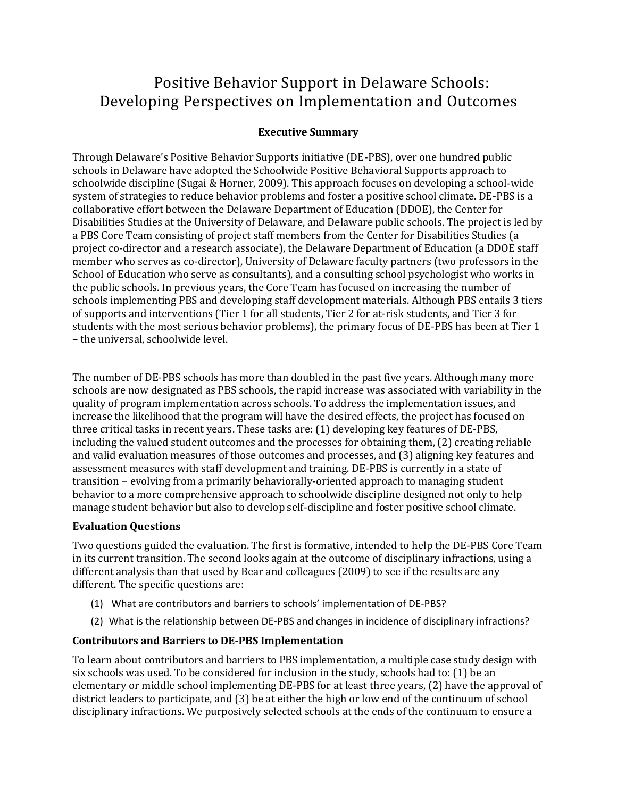# Positive Behavior Support in Delaware Schools: Developing Perspectives on Implementation and Outcomes

# **Executive Summary**

Through Delaware's Positive Behavior Supports initiative (DE-PBS), over one hundred public schools in Delaware have adopted the Schoolwide Positive Behavioral Supports approach to schoolwide discipline (Sugai & Horner, 2009). This approach focuses on developing a school-wide system of strategies to reduce behavior problems and foster a positive school climate. DE-PBS is a collaborative effort between the Delaware Department of Education (DDOE), the Center for Disabilities Studies at the University of Delaware, and Delaware public schools. The project is led by a PBS Core Team consisting of project staff members from the Center for Disabilities Studies (a project co-director and a research associate), the Delaware Department of Education (a DDOE staff member who serves as co-director), University of Delaware faculty partners (two professors in the School of Education who serve as consultants), and a consulting school psychologist who works in the public schools. In previous years, the Core Team has focused on increasing the number of schools implementing PBS and developing staff development materials. Although PBS entails 3 tiers of supports and interventions (Tier 1 for all students, Tier 2 for at-risk students, and Tier 3 for students with the most serious behavior problems), the primary focus of DE-PBS has been at Tier 1 – the universal, schoolwide level.

The number of DE-PBS schools has more than doubled in the past five years. Although many more schools are now designated as PBS schools, the rapid increase was associated with variability in the quality of program implementation across schools. To address the implementation issues, and increase the likelihood that the program will have the desired effects, the project has focused on three critical tasks in recent years. These tasks are: (1) developing key features of DE-PBS, including the valued student outcomes and the processes for obtaining them, (2) creating reliable and valid evaluation measures of those outcomes and processes, and (3) aligning key features and assessment measures with staff development and training. DE-PBS is currently in a state of transition − evolving from a primarily behaviorally-oriented approach to managing student behavior to a more comprehensive approach to schoolwide discipline designed not only to help manage student behavior but also to develop self-discipline and foster positive school climate.

## **Evaluation Questions**

Two questions guided the evaluation. The first is formative, intended to help the DE-PBS Core Team in its current transition. The second looks again at the outcome of disciplinary infractions, using a different analysis than that used by Bear and colleagues (2009) to see if the results are any different. The specific questions are:

- (1) What are contributors and barriers to schools' implementation of DE-PBS?
- (2) What is the relationship between DE-PBS and changes in incidence of disciplinary infractions?

# **Contributors and Barriers to DE-PBS Implementation**

To learn about contributors and barriers to PBS implementation, a multiple case study design with six schools was used. To be considered for inclusion in the study, schools had to: (1) be an elementary or middle school implementing DE-PBS for at least three years, (2) have the approval of district leaders to participate, and (3) be at either the high or low end of the continuum of school disciplinary infractions. We purposively selected schools at the ends of the continuum to ensure a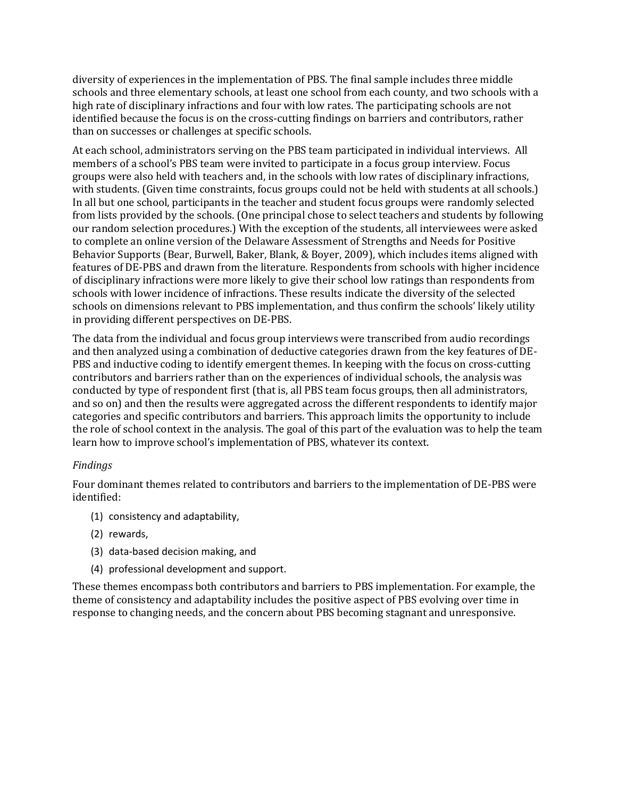diversity of experiences in the implementation of PBS. The final sample includes three middle schools and three elementary schools, at least one school from each county, and two schools with a high rate of disciplinary infractions and four with low rates. The participating schools are not identified because the focus is on the cross-cutting findings on barriers and contributors, rather than on successes or challenges at specific schools.

At each school, administrators serving on the PBS team participated in individual interviews. All members of a school's PBS team were invited to participate in a focus group interview. Focus groups were also held with teachers and, in the schools with low rates of disciplinary infractions, with students. (Given time constraints, focus groups could not be held with students at all schools.) In all but one school, participants in the teacher and student focus groups were randomly selected from lists provided by the schools. (One principal chose to select teachers and students by following our random selection procedures.) With the exception of the students, all interviewees were asked to complete an online version of the Delaware Assessment of Strengths and Needs for Positive Behavior Supports (Bear, Burwell, Baker, Blank, & Boyer, 2009), which includes items aligned with features of DE-PBS and drawn from the literature. Respondents from schools with higher incidence of disciplinary infractions were more likely to give their school low ratings than respondents from schools with lower incidence of infractions. These results indicate the diversity of the selected schools on dimensions relevant to PBS implementation, and thus confirm the schools' likely utility in providing different perspectives on DE-PBS.

The data from the individual and focus group interviews were transcribed from audio recordings and then analyzed using a combination of deductive categories drawn from the key features of DE-PBS and inductive coding to identify emergent themes. In keeping with the focus on cross-cutting contributors and barriers rather than on the experiences of individual schools, the analysis was conducted by type of respondent first (that is, all PBS team focus groups, then all administrators, and so on) and then the results were aggregated across the different respondents to identify major categories and specific contributors and barriers. This approach limits the opportunity to include the role of school context in the analysis. The goal of this part of the evaluation was to help the team learn how to improve school's implementation of PBS, whatever its context.

## *Findings*

Four dominant themes related to contributors and barriers to the implementation of DE-PBS were identified:

- (1) consistency and adaptability,
- (2) rewards,
- (3) data-based decision making, and
- (4) professional development and support.

These themes encompass both contributors and barriers to PBS implementation. For example, the theme of consistency and adaptability includes the positive aspect of PBS evolving over time in response to changing needs, and the concern about PBS becoming stagnant and unresponsive.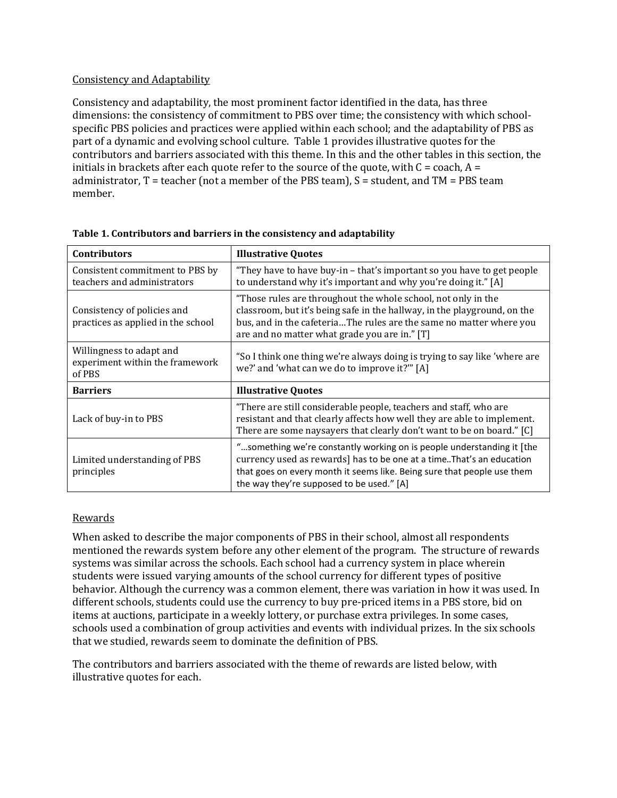## Consistency and Adaptability

Consistency and adaptability, the most prominent factor identified in the data, has three dimensions: the consistency of commitment to PBS over time; the consistency with which schoolspecific PBS policies and practices were applied within each school; and the adaptability of PBS as part of a dynamic and evolving school culture.Table 1 provides illustrative quotes for the contributors and barriers associated with this theme. In this and the other tables in this section, the initials in brackets after each quote refer to the source of the quote, with  $C = \text{coach}, A =$ administrator,  $T = \text{teacher (not a member of the PBS team)}$ ,  $S = \text{student}$ , and  $TM = PBS$  team member.

| <b>Contributors</b>                                                   | <b>Illustrative Quotes</b>                                                                                                                                                                                                                                               |  |
|-----------------------------------------------------------------------|--------------------------------------------------------------------------------------------------------------------------------------------------------------------------------------------------------------------------------------------------------------------------|--|
| Consistent commitment to PBS by<br>teachers and administrators        | "They have to have buy-in – that's important so you have to get people<br>to understand why it's important and why you're doing it." [A]                                                                                                                                 |  |
| Consistency of policies and<br>practices as applied in the school     | "Those rules are throughout the whole school, not only in the<br>classroom, but it's being safe in the hallway, in the playground, on the<br>bus, and in the cafeteriaThe rules are the same no matter where you<br>are and no matter what grade you are in." [T]        |  |
| Willingness to adapt and<br>experiment within the framework<br>of PBS | "So I think one thing we're always doing is trying to say like 'where are<br>we?' and 'what can we do to improve it?'" [A]                                                                                                                                               |  |
| <b>Barriers</b>                                                       | <b>Illustrative Quotes</b>                                                                                                                                                                                                                                               |  |
| Lack of buy-in to PBS                                                 | "There are still considerable people, teachers and staff, who are<br>resistant and that clearly affects how well they are able to implement.<br>There are some naysayers that clearly don't want to be on board." [C]                                                    |  |
| Limited understanding of PBS<br>principles                            | "something we're constantly working on is people understanding it [the<br>currency used as rewards] has to be one at a time. That's an education<br>that goes on every month it seems like. Being sure that people use them<br>the way they're supposed to be used." [A] |  |

**Table 1. Contributors and barriers in the consistency and adaptability**

## Rewards

When asked to describe the major components of PBS in their school, almost all respondents mentioned the rewards system before any other element of the program. The structure of rewards systems was similar across the schools. Each school had a currency system in place wherein students were issued varying amounts of the school currency for different types of positive behavior. Although the currency was a common element, there was variation in how it was used. In different schools, students could use the currency to buy pre-priced items in a PBS store, bid on items at auctions, participate in a weekly lottery, or purchase extra privileges. In some cases, schools used a combination of group activities and events with individual prizes. In the six schools that we studied, rewards seem to dominate the definition of PBS.

The contributors and barriers associated with the theme of rewards are listed below, with illustrative quotes for each.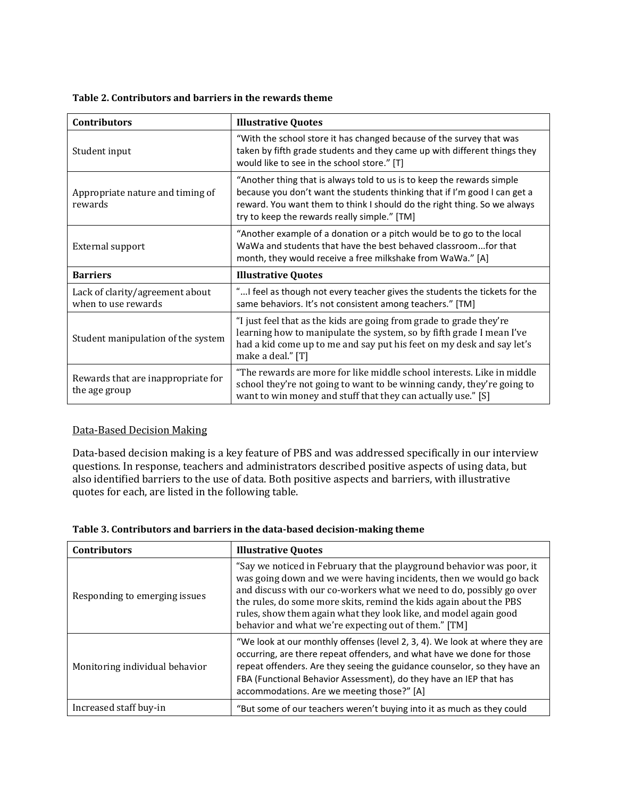#### **Table 2. Contributors and barriers in the rewards theme**

| <b>Contributors</b>                                    | <b>Illustrative Quotes</b>                                                                                                                                                                                                                                                      |  |
|--------------------------------------------------------|---------------------------------------------------------------------------------------------------------------------------------------------------------------------------------------------------------------------------------------------------------------------------------|--|
| Student input                                          | "With the school store it has changed because of the survey that was<br>taken by fifth grade students and they came up with different things they<br>would like to see in the school store." [T]                                                                                |  |
| Appropriate nature and timing of<br>rewards            | "Another thing that is always told to us is to keep the rewards simple<br>because you don't want the students thinking that if I'm good I can get a<br>reward. You want them to think I should do the right thing. So we always<br>try to keep the rewards really simple." [TM] |  |
| External support                                       | "Another example of a donation or a pitch would be to go to the local<br>WaWa and students that have the best behaved classroomfor that<br>month, they would receive a free milkshake from WaWa." [A]                                                                           |  |
| <b>Barriers</b>                                        | <b>Illustrative Quotes</b>                                                                                                                                                                                                                                                      |  |
| Lack of clarity/agreement about<br>when to use rewards | "I feel as though not every teacher gives the students the tickets for the<br>same behaviors. It's not consistent among teachers." [TM]                                                                                                                                         |  |
| Student manipulation of the system                     | "I just feel that as the kids are going from grade to grade they're<br>learning how to manipulate the system, so by fifth grade I mean I've<br>had a kid come up to me and say put his feet on my desk and say let's<br>make a deal." [T]                                       |  |
| Rewards that are inappropriate for<br>the age group    | "The rewards are more for like middle school interests. Like in middle<br>school they're not going to want to be winning candy, they're going to<br>want to win money and stuff that they can actually use." [S]                                                                |  |

## Data-Based Decision Making

Data-based decision making is a key feature of PBS and was addressed specifically in our interview questions. In response, teachers and administrators described positive aspects of using data, but also identified barriers to the use of data. Both positive aspects and barriers, with illustrative quotes for each, are listed in the following table.

| <b>Contributors</b>            | <b>Illustrative Quotes</b>                                                                                                                                                                                                                                                                                                                                                                                            |
|--------------------------------|-----------------------------------------------------------------------------------------------------------------------------------------------------------------------------------------------------------------------------------------------------------------------------------------------------------------------------------------------------------------------------------------------------------------------|
| Responding to emerging issues  | "Say we noticed in February that the playground behavior was poor, it<br>was going down and we were having incidents, then we would go back<br>and discuss with our co-workers what we need to do, possibly go over<br>the rules, do some more skits, remind the kids again about the PBS<br>rules, show them again what they look like, and model again good<br>behavior and what we're expecting out of them." [TM] |
| Monitoring individual behavior | "We look at our monthly offenses (level 2, 3, 4). We look at where they are<br>occurring, are there repeat offenders, and what have we done for those<br>repeat offenders. Are they seeing the guidance counselor, so they have an<br>FBA (Functional Behavior Assessment), do they have an IEP that has<br>accommodations. Are we meeting those?" [A]                                                                |
| Increased staff buy-in         | "But some of our teachers weren't buying into it as much as they could                                                                                                                                                                                                                                                                                                                                                |

#### **Table 3. Contributors and barriers in the data-based decision-making theme**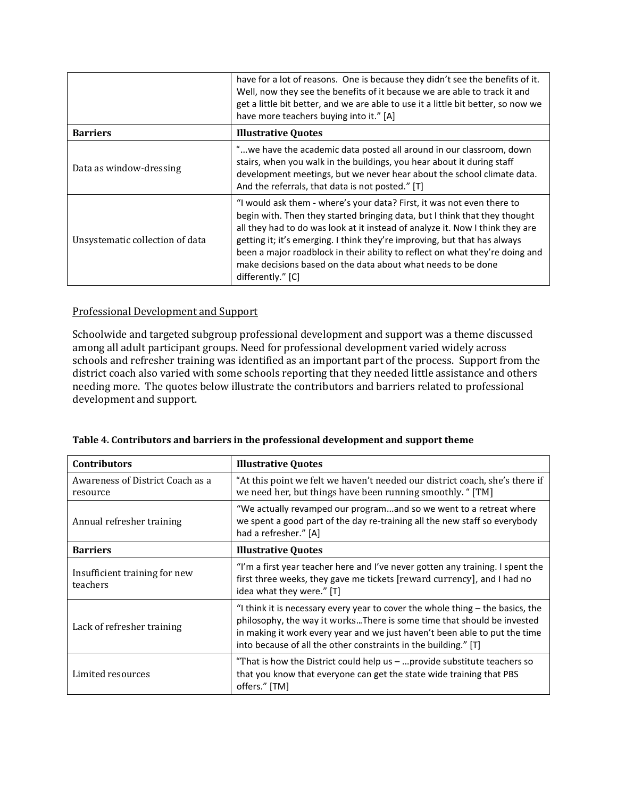|                                 | have for a lot of reasons. One is because they didn't see the benefits of it.<br>Well, now they see the benefits of it because we are able to track it and<br>get a little bit better, and we are able to use it a little bit better, so now we<br>have more teachers buying into it." [A]                                                                                                                                                                                              |
|---------------------------------|-----------------------------------------------------------------------------------------------------------------------------------------------------------------------------------------------------------------------------------------------------------------------------------------------------------------------------------------------------------------------------------------------------------------------------------------------------------------------------------------|
| <b>Barriers</b>                 | <b>Illustrative Quotes</b>                                                                                                                                                                                                                                                                                                                                                                                                                                                              |
| Data as window-dressing         | "we have the academic data posted all around in our classroom, down<br>stairs, when you walk in the buildings, you hear about it during staff<br>development meetings, but we never hear about the school climate data.<br>And the referrals, that data is not posted." [T]                                                                                                                                                                                                             |
| Unsystematic collection of data | "I would ask them - where's your data? First, it was not even there to<br>begin with. Then they started bringing data, but I think that they thought<br>all they had to do was look at it instead of analyze it. Now I think they are<br>getting it; it's emerging. I think they're improving, but that has always<br>been a major roadblock in their ability to reflect on what they're doing and<br>make decisions based on the data about what needs to be done<br>differently." [C] |

## Professional Development and Support

Schoolwide and targeted subgroup professional development and support was a theme discussed among all adult participant groups. Need for professional development varied widely across schools and refresher training was identified as an important part of the process. Support from the district coach also varied with some schools reporting that they needed little assistance and others needing more. The quotes below illustrate the contributors and barriers related to professional development and support.

| Table 4. Contributors and barriers in the professional development and support theme |  |
|--------------------------------------------------------------------------------------|--|
|                                                                                      |  |

| <b>Contributors</b>                          | <b>Illustrative Quotes</b>                                                                                                                                                                                                                                                                                  |  |
|----------------------------------------------|-------------------------------------------------------------------------------------------------------------------------------------------------------------------------------------------------------------------------------------------------------------------------------------------------------------|--|
| Awareness of District Coach as a<br>resource | "At this point we felt we haven't needed our district coach, she's there if<br>we need her, but things have been running smoothly. " [TM]                                                                                                                                                                   |  |
| Annual refresher training                    | "We actually revamped our programand so we went to a retreat where<br>we spent a good part of the day re-training all the new staff so everybody<br>had a refresher." [A]                                                                                                                                   |  |
| <b>Barriers</b>                              | <b>Illustrative Quotes</b>                                                                                                                                                                                                                                                                                  |  |
| Insufficient training for new<br>teachers    | "I'm a first year teacher here and I've never gotten any training. I spent the<br>first three weeks, they gave me tickets [reward currency], and I had no<br>idea what they were." [T]                                                                                                                      |  |
| Lack of refresher training                   | "I think it is necessary every year to cover the whole thing $-$ the basics, the<br>philosophy, the way it worksThere is some time that should be invested<br>in making it work every year and we just haven't been able to put the time<br>into because of all the other constraints in the building." [T] |  |
| Limited resources                            | "That is how the District could help us $-$ provide substitute teachers so<br>that you know that everyone can get the state wide training that PBS<br>offers." [TM]                                                                                                                                         |  |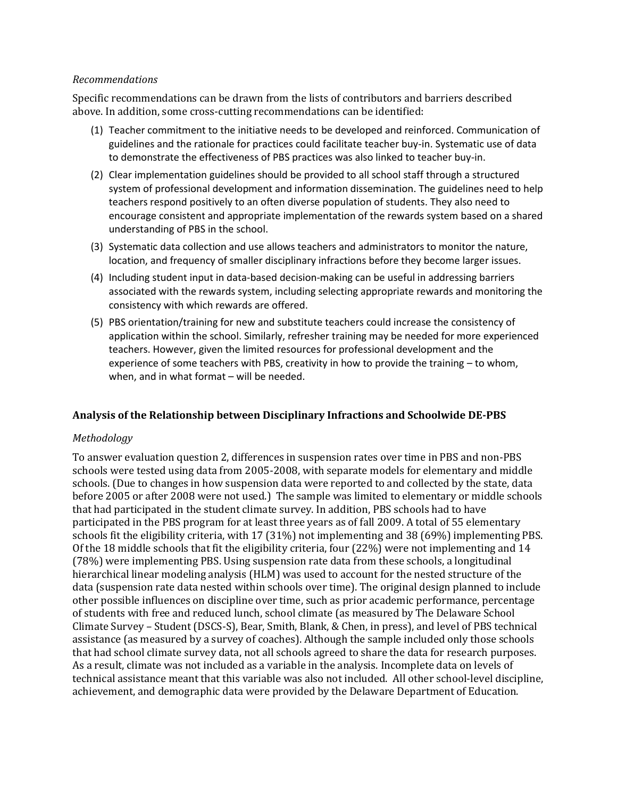#### *Recommendations*

Specific recommendations can be drawn from the lists of contributors and barriers described above. In addition, some cross-cutting recommendations can be identified:

- (1) Teacher commitment to the initiative needs to be developed and reinforced. Communication of guidelines and the rationale for practices could facilitate teacher buy-in. Systematic use of data to demonstrate the effectiveness of PBS practices was also linked to teacher buy-in.
- (2) Clear implementation guidelines should be provided to all school staff through a structured system of professional development and information dissemination. The guidelines need to help teachers respond positively to an often diverse population of students. They also need to encourage consistent and appropriate implementation of the rewards system based on a shared understanding of PBS in the school.
- (3) Systematic data collection and use allows teachers and administrators to monitor the nature, location, and frequency of smaller disciplinary infractions before they become larger issues.
- (4) Including student input in data-based decision-making can be useful in addressing barriers associated with the rewards system, including selecting appropriate rewards and monitoring the consistency with which rewards are offered.
- (5) PBS orientation/training for new and substitute teachers could increase the consistency of application within the school. Similarly, refresher training may be needed for more experienced teachers. However, given the limited resources for professional development and the experience of some teachers with PBS, creativity in how to provide the training – to whom, when, and in what format – will be needed.

## **Analysis of the Relationship between Disciplinary Infractions and Schoolwide DE-PBS**

#### *Methodology*

To answer evaluation question 2, differences in suspension rates over time in PBS and non-PBS schools were tested using data from 2005-2008, with separate models for elementary and middle schools. (Due to changes in how suspension data were reported to and collected by the state, data before 2005 or after 2008 were not used.) The sample was limited to elementary or middle schools that had participated in the student climate survey. In addition, PBS schools had to have participated in the PBS program for at least three years as of fall 2009. A total of 55 elementary schools fit the eligibility criteria, with 17 (31%) not implementing and 38 (69%) implementing PBS. Of the 18 middle schools that fit the eligibility criteria, four (22%) were not implementing and 14 (78%) were implementing PBS. Using suspension rate data from these schools, a longitudinal hierarchical linear modeling analysis (HLM) was used to account for the nested structure of the data (suspension rate data nested within schools over time). The original design planned to include other possible influences on discipline over time, such as prior academic performance, percentage of students with free and reduced lunch, school climate (as measured by The Delaware School Climate Survey – Student (DSCS-S), Bear, Smith, Blank, & Chen, in press), and level of PBS technical assistance (as measured by a survey of coaches). Although the sample included only those schools that had school climate survey data, not all schools agreed to share the data for research purposes. As a result, climate was not included as a variable in the analysis. Incomplete data on levels of technical assistance meant that this variable was also not included. All other school-level discipline, achievement, and demographic data were provided by the Delaware Department of Education.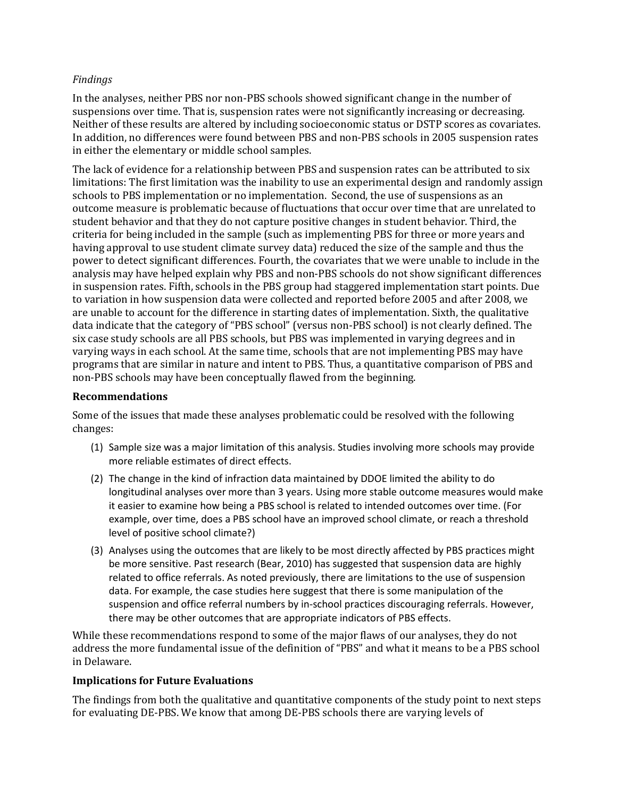## *Findings*

In the analyses, neither PBS nor non-PBS schools showed significant change in the number of suspensions over time. That is, suspension rates were not significantly increasing or decreasing. Neither of these results are altered by including socioeconomic status or DSTP scores as covariates. In addition, no differences were found between PBS and non-PBS schools in 2005 suspension rates in either the elementary or middle school samples.

The lack of evidence for a relationship between PBS and suspension rates can be attributed to six limitations: The first limitation was the inability to use an experimental design and randomly assign schools to PBS implementation or no implementation. Second, the use of suspensions as an outcome measure is problematic because of fluctuations that occur over time that are unrelated to student behavior and that they do not capture positive changes in student behavior. Third, the criteria for being included in the sample (such as implementing PBS for three or more years and having approval to use student climate survey data) reduced the size of the sample and thus the power to detect significant differences. Fourth, the covariates that we were unable to include in the analysis may have helped explain why PBS and non-PBS schools do not show significant differences in suspension rates. Fifth, schools in the PBS group had staggered implementation start points. Due to variation in how suspension data were collected and reported before 2005 and after 2008, we are unable to account for the difference in starting dates of implementation. Sixth, the qualitative data indicate that the category of "PBS school" (versus non-PBS school) is not clearly defined. The six case study schools are all PBS schools, but PBS was implemented in varying degrees and in varying ways in each school. At the same time, schools that are not implementing PBS may have programs that are similar in nature and intent to PBS. Thus, a quantitative comparison of PBS and non-PBS schools may have been conceptually flawed from the beginning.

## **Recommendations**

Some of the issues that made these analyses problematic could be resolved with the following changes:

- (1) Sample size was a major limitation of this analysis. Studies involving more schools may provide more reliable estimates of direct effects.
- (2) The change in the kind of infraction data maintained by DDOE limited the ability to do longitudinal analyses over more than 3 years. Using more stable outcome measures would make it easier to examine how being a PBS school is related to intended outcomes over time. (For example, over time, does a PBS school have an improved school climate, or reach a threshold level of positive school climate?)
- (3) Analyses using the outcomes that are likely to be most directly affected by PBS practices might be more sensitive. Past research (Bear, 2010) has suggested that suspension data are highly related to office referrals. As noted previously, there are limitations to the use of suspension data. For example, the case studies here suggest that there is some manipulation of the suspension and office referral numbers by in-school practices discouraging referrals. However, there may be other outcomes that are appropriate indicators of PBS effects.

While these recommendations respond to some of the major flaws of our analyses, they do not address the more fundamental issue of the definition of "PBS" and what it means to be a PBS school in Delaware.

#### **Implications for Future Evaluations**

The findings from both the qualitative and quantitative components of the study point to next steps for evaluating DE-PBS. We know that among DE-PBS schools there are varying levels of